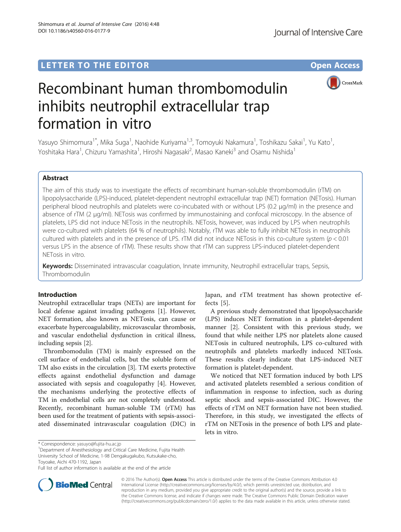Shimomura et al. Journal of Intensive Care (2016) 4:48

DOI 10.1186/s40560-016-0177-9

LETTER TO THE EDITOR **CONSIDERING A CONSIDERATION** 

CrossMark

# Recombinant human thrombomodulin inhibits neutrophil extracellular trap formation in vitro

Yasuyo Shimomura<sup>1\*</sup>, Mika Suga<sup>1</sup>, Naohide Kuriyama<sup>1,3</sup>, Tomoyuki Nakamura<sup>1</sup>, Toshikazu Sakai<sup>1</sup>, Yu Kato<sup>1</sup> , Yoshitaka Hara<sup>1</sup>, Chizuru Yamashita<sup>1</sup>, Hiroshi Nagasaki<sup>2</sup>, Masao Kaneki<sup>3</sup> and Osamu Nishida<sup>1</sup>

## Abstract

The aim of this study was to investigate the effects of recombinant human-soluble thrombomodulin (rTM) on lipopolysaccharide (LPS)-induced, platelet-dependent neutrophil extracellular trap (NET) formation (NETosis). Human peripheral blood neutrophils and platelets were co-incubated with or without LPS (0.2 μg/ml) in the presence and absence of rTM (2 μg/ml). NETosis was confirmed by immunostaining and confocal microscopy. In the absence of platelets, LPS did not induce NETosis in the neutrophils. NETosis, however, was induced by LPS when neutrophils were co-cultured with platelets (64 % of neutrophils). Notably, rTM was able to fully inhibit NETosis in neutrophils cultured with platelets and in the presence of LPS. rTM did not induce NETosis in this co-culture system  $(p < 0.01$ versus LPS in the absence of rTM). These results show that rTM can suppress LPS-induced platelet-dependent NETosis in vitro.

Keywords: Disseminated intravascular coagulation, Innate immunity, Neutrophil extracellular traps, Sepsis, Thrombomodulin

## Introduction

Neutrophil extracellular traps (NETs) are important for local defense against invading pathogens [[1](#page-3-0)]. However, NET formation, also known as NETosis, can cause or exacerbate hypercoagulability, microvascular thrombosis, and vascular endothelial dysfunction in critical illness, including sepsis [\[2](#page-3-0)].

Thrombomodulin (TM) is mainly expressed on the cell surface of endothelial cells, but the soluble form of TM also exists in the circulation [\[3\]](#page-3-0). TM exerts protective effects against endothelial dysfunction and damage associated with sepsis and coagulopathy [[4](#page-3-0)]. However, the mechanisms underlying the protective effects of TM in endothelial cells are not completely understood. Recently, recombinant human-soluble TM (rTM) has been used for the treatment of patients with sepsis-associated disseminated intravascular coagulation (DIC) in

<sup>1</sup>Department of Anesthesiology and Critical Care Medicine, Fujita Health University School of Medicine, 1-98 Dengakugakubo, Kutsukake-cho, Toyoake, Aichi 470-1192, Japan



A previous study demonstrated that lipopolysaccharide (LPS) induces NET formation in a platelet-dependent manner [\[2](#page-3-0)]. Consistent with this previous study, we found that while neither LPS nor platelets alone caused NETosis in cultured neutrophils, LPS co-cultured with neutrophils and platelets markedly induced NETosis. These results clearly indicate that LPS-induced NET formation is platelet-dependent.

We noticed that NET formation induced by both LPS and activated platelets resembled a serious condition of inflammation in response to infection, such as during septic shock and sepsis-associated DIC. However, the effects of rTM on NET formation have not been studied. Therefore, in this study, we investigated the effects of rTM on NETosis in the presence of both LPS and platelets in vitro.



© 2016 The Author(s). Open Access This article is distributed under the terms of the Creative Commons Attribution 4.0 International License [\(http://creativecommons.org/licenses/by/4.0/](http://creativecommons.org/licenses/by/4.0/)), which permits unrestricted use, distribution, and reproduction in any medium, provided you give appropriate credit to the original author(s) and the source, provide a link to the Creative Commons license, and indicate if changes were made. The Creative Commons Public Domain Dedication waiver [\(http://creativecommons.org/publicdomain/zero/1.0/](http://creativecommons.org/publicdomain/zero/1.0/)) applies to the data made available in this article, unless otherwise stated.

<sup>\*</sup> Correspondence: [yasuyo@fujita-hu.ac.jp](mailto:yasuyo@fujita-hu.ac.jp) <sup>1</sup>

Full list of author information is available at the end of the article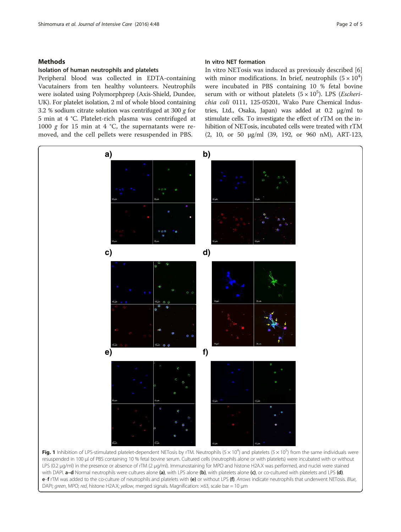## <span id="page-1-0"></span>Isolation of human neutrophils and platelets

Peripheral blood was collected in EDTA-containing Vacutainers from ten healthy volunteers. Neutrophils were isolated using Polymorphprep (Axis-Shield, Dundee, UK). For platelet isolation, 2 ml of whole blood containing 3.2 % sodium citrate solution was centrifuged at 300 g for 5 min at 4 °C. Platelet-rich plasma was centrifuged at 1000 g for 15 min at 4  $^{\circ}$ C, the supernatants were removed, and the cell pellets were resuspended in PBS.

## In vitro NET formation

In vitro NETosis was induced as previously described [\[6](#page-3-0)] with minor modifications. In brief, neutrophils  $(5 \times 10^4)$ were incubated in PBS containing 10 % fetal bovine serum with or without platelets  $(5 \times 10^5)$ . LPS (*Escheri-chia coli* 0111 125-05201 Wako Pure Chemical Induschia coli 0111, 125-05201, Wako Pure Chemical Industries, Ltd., Osaka, Japan) was added at 0.2 μg/ml to stimulate cells. To investigate the effect of rTM on the inhibition of NETosis, incubated cells were treated with rTM (2, 10, or 50 μg/ml (39, 192, or 960 nM), ART-123,



resuspended in 100 μl of PBS containing 10 % fetal bovine serum. Cultured cells (neutrophils alone or with platelets) were incubated with or without LPS (0.2 μg/ml) in the presence or absence of rTM (2 μg/ml). Immunostaining for MPO and histone H2A.X was performed, and nuclei were stained with DAPI. a-d Normal neutrophils were cultures alone (a), with LPS alone (b), with platelets alone (c), or co-cultured with platelets and LPS (d). e-f rTM was added to the co-culture of neutrophils and platelets with (e) or without LPS (f). Arrows indicate neutrophils that underwent NETosis. Blue, DAPI; green, MPO; red, histone H2A.X; yellow, merged signals. Magnification:  $\times$ 63, scale bar = 10 µm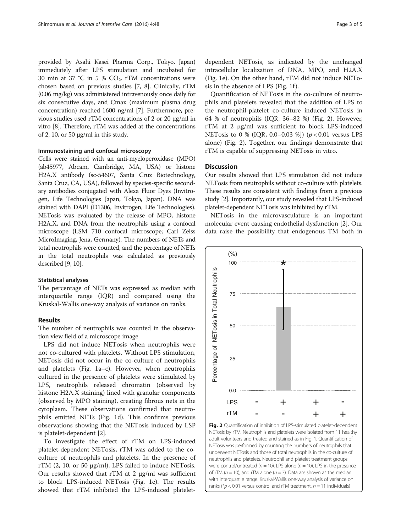provided by Asahi Kasei Pharma Corp., Tokyo, Japan) immediately after LPS stimulation and incubated for 30 min at 37 °C in 5 %  $CO<sub>2</sub>$ . rTM concentrations were chosen based on previous studies [\[7, 8](#page-3-0)]. Clinically, rTM (0.06 mg/kg) was administered intravenously once daily for six consecutive days, and Cmax (maximum plasma drug concentration) reached 1600 ng/ml [\[7\]](#page-3-0). Furthermore, previous studies used rTM concentrations of 2 or 20 μg/ml in vitro [\[8](#page-3-0)]. Therefore, rTM was added at the concentrations of 2, 10, or 50 μg/ml in this study.

## Immunostaining and confocal microscopy

Cells were stained with an anti-myeloperoxidase (MPO) (ab45977, Abcam, Cambridge, MA, USA) or histone H2A.X antibody (sc-54607, Santa Cruz Biotechnology, Santa Cruz, CA, USA), followed by species-specific secondary antibodies conjugated with Alexa Fluor Dyes (Invitrogen, Life Technologies Japan, Tokyo, Japan). DNA was stained with DAPI (D1306, Invitrogen, Life Technologies). NETosis was evaluated by the release of MPO, histone H2A.X, and DNA from the neutrophils using a confocal microscope (LSM 710 confocal microscope; Carl Zeiss MicroImaging, Jena, Germany). The numbers of NETs and total neutrophils were counted, and the percentage of NETs in the total neutrophils was calculated as previously described [\[9](#page-3-0), [10](#page-4-0)].

#### Statistical analyses

The percentage of NETs was expressed as median with interquartile range (IQR) and compared using the Kruskal-Wallis one-way analysis of variance on ranks.

## Results

The number of neutrophils was counted in the observation view field of a microscope image.

LPS did not induce NETosis when neutrophils were not co-cultured with platelets. Without LPS stimulation, NETosis did not occur in the co-culture of neutrophils and platelets (Fig. [1a](#page-1-0)–c). However, when neutrophils cultured in the presence of platelets were stimulated by LPS, neutrophils released chromatin (observed by histone H2A.X staining) lined with granular components (observed by MPO staining), creating fibrous nets in the cytoplasm. These observations confirmed that neutrophils emitted NETs (Fig. [1d\)](#page-1-0). This confirms previous observations showing that the NETosis induced by LSP is platelet-dependent [\[2](#page-3-0)].

To investigate the effect of rTM on LPS-induced platelet-dependent NETosis, rTM was added to the coculture of neutrophils and platelets. In the presence of rTM  $(2, 10, or 50 µg/ml)$ , LPS failed to induce NETosis. Our results showed that rTM at 2 μg/ml was sufficient to block LPS-induced NETosis (Fig. [1e\)](#page-1-0). The results showed that rTM inhibited the LPS-induced platelet-

dependent NETosis, as indicated by the unchanged intracellular localization of DNA, MPO, and H2A.X (Fig. [1e\)](#page-1-0). On the other hand, rTM did not induce NETo-sis in the absence of LPS (Fig. [1f](#page-1-0)).

Quantification of NETosis in the co-culture of neutrophils and platelets revealed that the addition of LPS to the neutrophil-platelet co-culture induced NETosis in 64 % of neutrophils (IQR, 36–82 %) (Fig. 2). However, rTM at 2 μg/ml was sufficient to block LPS-induced NETosis to 0 % (IQR, 0.0–0.03 %]) ( $p < 0.01$  versus LPS alone) (Fig. 2). Together, our findings demonstrate that rTM is capable of suppressing NETosis in vitro.

## **Discussion**

Our results showed that LPS stimulation did not induce NETosis from neutrophils without co-culture with platelets. These results are consistent with findings from a previous study [\[2](#page-3-0)]. Importantly, our study revealed that LPS-induced platelet-dependent NETosis was inhibited by rTM.

NETosis in the microvasculature is an important molecular event causing endothelial dysfunction [[2\]](#page-3-0). Our data raise the possibility that endogenous TM both in



Fig. 2 Quantification of inhibition of LPS-stimulated platelet-dependent NETosis by rTM. Neutrophils and platelets were isolated from 11 healthy adult volunteers and treated and stained as in Fig. [1.](#page-1-0) Quantification of NETosis was performed by counting the numbers of neutrophils that underwent NETosis and those of total neutrophils in the co-culture of neutrophils and platelets. Neutrophil and platelet treatment groups were control/untreated ( $n = 10$ ), LPS alone ( $n = 10$ ), LPS in the presence of rTM ( $n = 10$ ), and rTM alone ( $n = 3$ ). Data are shown as the median with interquartile range. Kruskal-Wallis one-way analysis of variance on ranks ( $p$  < 0.01 versus control and rTM treatment,  $n = 11$  individuals)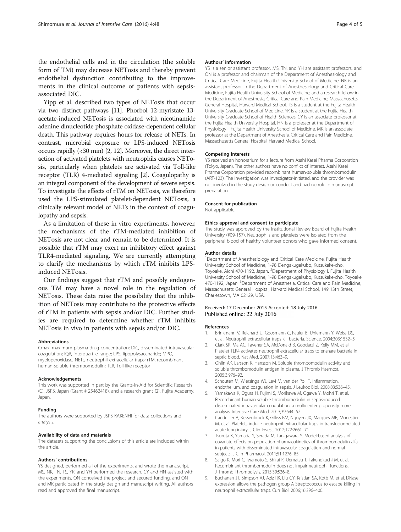<span id="page-3-0"></span>the endothelial cells and in the circulation (the soluble form of TM) may decrease NETosis and thereby prevent endothelial dysfunction contributing to the improvements in the clinical outcome of patients with sepsisassociated DIC.

Yipp et al. described two types of NETosis that occur via two distinct pathways [[11](#page-4-0)]. Phorbol 12-myristate 13 acetate-induced NETosis is associated with nicotinamide adenine dinucleotide phosphate oxidase-dependent cellular death. This pathway requires hours for release of NETs. In contrast, microbial exposure or LPS-induced NETosis occurs rapidly (<30 min) [2, [12](#page-4-0)]. Moreover, the direct interaction of activated platelets with neutrophils causes NETosis, particularly when platelets are activated via Toll-like receptor (TLR) 4-mediated signaling [2]. Coagulopathy is an integral component of the development of severe sepsis. To investigate the effects of rTM on NETosis, we therefore used the LPS-stimulated platelet-dependent NETosis, a clinically relevant model of NETs in the context of coagulopathy and sepsis.

As a limitation of these in vitro experiments, however, the mechanisms of the rTM-mediated inhibition of NETosis are not clear and remain to be determined. It is possible that rTM may exert an inhibitory effect against TLR4-mediated signaling. We are currently attempting to clarify the mechanisms by which rTM inhibits LPSinduced NETosis.

Our findings suggest that rTM and possibly endogenous TM may have a novel role in the regulation of NETosis. These data raise the possibility that the inhibition of NETosis may contribute to the protective effects of rTM in patients with sepsis and/or DIC. Further studies are required to determine whether rTM inhibits NETosis in vivo in patients with sepsis and/or DIC.

#### Abbreviations

Cmax, maximum plasma drug concentration; DIC, disseminated intravascular coagulation; IQR, interquartile range; LPS, lipopolysaccharide; MPO, myeloperoxidase; NETs, neutrophil extracellular traps; rTM, recombinant human-soluble thrombomodulin; TLR, Toll-like receptor

#### Acknowledgements

This work was supported in part by the Grants-in-Aid for Scientific Research (C), JSPS, Japan (Grant # 25462418), and a research grant (2), Fujita Academy, Japan.

#### Funding

The authors were supported by JSPS KAKENHI for data collections and analysis.

#### Availability of data and materials

The datasets supporting the conclusions of this article are included within the article.

#### Authors' contributions

YS designed, performed all of the experiments, and wrote the manuscript. MS, NK, TN, TS, YK, and YH performed the research. CY and HN assisted with the experiments. ON conceived the project and secured funding, and ON and MK participated in the study design and manuscript writing. All authors read and approved the final manuscript.

#### Authors' information

YS is a senior assistant professor. MS, TN, and YH are assistant professors, and ON is a professor and chairman of the Department of Anesthesiology and Critical Care Medicine, Fujita Health University School of Medicine. NK is an assistant professor in the Department of Anesthesiology and Critical Care Medicine, Fujita Health University School of Medicine, and a research fellow in the Department of Anesthesia, Critical Care and Pain Medicine, Massachusetts General Hospital, Harvard Medical School. TS is a student at the Fujita Health University Graduate School of Medicine. YK is a student at the Fujita Health University Graduate School of Health Sciences. CY is an associate professor at the Fujita Health University Hospital. HN is a professor at the Department of Physiology I, Fujita Health University School of Medicine. MK is an associate professor at the Department of Anesthesia, Critical Care and Pain Medicine, Massachusetts General Hospital, Harvard Medical School.

#### Competing interests

YS received an honorarium for a lecture from Asahi Kasei Pharma Corporation (Tokyo, Japan). The other authors have no conflict of interest. Asahi Kasei Pharma Corporation provided recombinant human-soluble thrombomodulin (ART-123). The investigation was investigator-initiated, and the provider was not involved in the study design or conduct and had no role in manuscript preparation.

#### Consent for publication

Not applicable.

#### Ethics approval and consent to participate

The study was approved by the Institutional Review Board of Fujita Health University (#09-157). Neutrophils and platelets were isolated from the peripheral blood of healthy volunteer donors who gave informed consent.

#### Author details

<sup>1</sup>Department of Anesthesiology and Critical Care Medicine, Fujita Health University School of Medicine, 1-98 Dengakugakubo, Kutsukake-cho, Toyoake, Aichi 470-1192, Japan. <sup>2</sup>Department of Physiology I, Fujita Health University School of Medicine, 1-98 Dengakugakubo, Kutsukake-cho, Toyoake 470-1192, Japan. <sup>3</sup>Department of Anesthesia, Critical Care and Pain Medicine, Massachusetts General Hospital, Harvard Medical School, 149 13th Street, Charlestown, MA 02129, USA.

## Received: 17 December 2015 Accepted: 18 July 2016 Published online: 22 July 2016

#### References

- Brinkmann V, Reichard U, Goosmann C, Fauler B, Uhlemann Y, Weiss DS, et al. Neutrophil extracellular traps kill bacteria. Science. 2004;303:1532–5.
- 2. Clark SR, Ma AC, Tavener SA, McDonald B, Goodarzi Z, Kelly MM, et al. Platelet TLR4 activates neutrophil extracellular traps to ensnare bacteria in septic blood. Nat Med. 2007;13:463–9.
- 3. Ohlin AK, Larsson K, Hansson M. Soluble thrombomodulin activity and soluble thrombomodulin antigen in plasma. J Thromb Haemost. 2005;3:976–92.
- 4. Schouten M, Wiersinga WJ, Levi M, van der Poll T. Inflammation, endothelium, and coagulation in sepsis. J Leukoc Biol. 2008;83:536–45.
- Yamakawa K, Ogura H, Fujimi S, Morikawa M, Ogawa Y, Mohri T, et al. Recombinant human soluble thrombomodulin in sepsis-induced disseminated intravascular coagulation: a multicenter propensity score analysis. Intensive Care Med. 2013;39:644–52.
- 6. Caudrillier A, Kessenbrock K, Gilliss BM, Nguyen JX, Marques MB, Monestier M, et al. Platelets induce neutrophil extracellular traps in transfusion-related acute lung injury. J Clin Invest. 2012;122:2661–71.
- 7. Tsuruta K, Yamada Y, Serada M, Tanigawara Y. Model-based analysis of covariate effects on population pharmacokinetics of thrombomodulin alfa in patients with disseminated intravascular coagulation and normal subjects. J Clin Pharmacol. 2011;51:1276–85.
- 8. Saigo K, Mori C, Iwamoto S, Shirai K, Uematsu T, Takenokuchi M, et al. Recombinant thrombomodulin does not impair neutrophil functions. J Thromb Thrombolysis. 2015;39:536–8.
- 9. Buchanan JT, Simpson AJ, Aziz RK, Liu GY, Kristian SA, Kotb M, et al. DNase expression allows the pathogen group A Streptococcus to escape killing in neutrophil extracellular traps. Curr Biol. 2006;16:396–400.